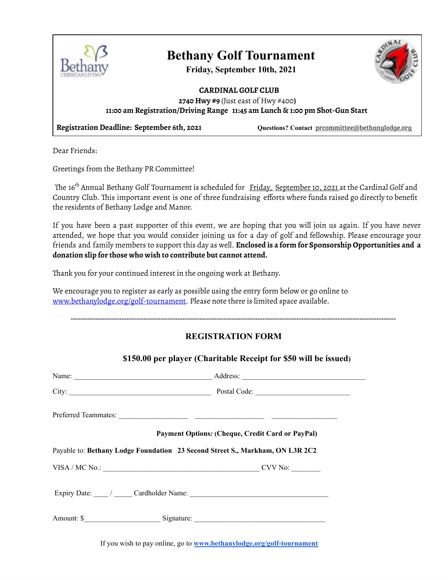

## **Bethany Golf Tournament**

**Friday, September 10th, 2021**



#### **CARDINAL GOLF CLUB 2740 Hwy #9** (Just east of Hwy #400**) 11:00 am Registration/Driving Range 11:45 am Lunch & 1:00 pm Shot-Gun Start**

**Registration Deadline: September 6th, 2021 Questions? Contact** [prcommittee@bethanylodge.org](mailto:prcommittee@bethanylodge.org)

Dear Friends:

Greetings from the Bethany PR Committee!

The 16<sup>th</sup> Annual Bethany Golf Tournament is scheduled for <u>Friday, September 10, 2021 a</u>t the Cardinal Golf and Country Club. This important event is one of three fundraising efforts where funds raised go directly to benefit the residents of Bethany Lodge and Manor.

If you have been a past supporter of this event, we are hoping that you will join us again. If you have never attended, we hope that you would consider joining us for a day of golf and fellowship. Please encourage your friends and family members to support this day as well. **Enclosed is a form for Sponsorship Opportunities and a donation slip for those who wish to contribute but cannot attend.**

Thank you for your continued interest in the ongoing work at Bethany.

We encourage you to register as early as possible using the entry form below or go online to www.bethanylodge.org/golf-tournament. Please note there is limited space available.

--------------------------------------------------------------------------------------------------------------------------------------

#### **REGISTRATION FORM**

**\$150.00 per player (Charitable Receipt for \$50 will be issued)**

| City: City: City: City: City: City: City: City: City: City: City: City: City: City: City: City: City: City: City: City: City: City: City: City: City: City: City: City: City: City: City: City: City: City: City: City: City: |
|-------------------------------------------------------------------------------------------------------------------------------------------------------------------------------------------------------------------------------|
|                                                                                                                                                                                                                               |
| Payment Options: (Cheque, Credit Card or PayPal)                                                                                                                                                                              |
|                                                                                                                                                                                                                               |
| Payable to: Bethany Lodge Foundation 23 Second Street S., Markham, ON L3R 2C2                                                                                                                                                 |
| VISA / MC No.: CVV No:                                                                                                                                                                                                        |
| Expiry Date: ______ / ______ Cardholder Name: ___________________________________                                                                                                                                             |

If you wish to pay online, go to **[www.bethanylodge.org/golf-tournament](http://www.bethanylodge.org/golf-tournament)**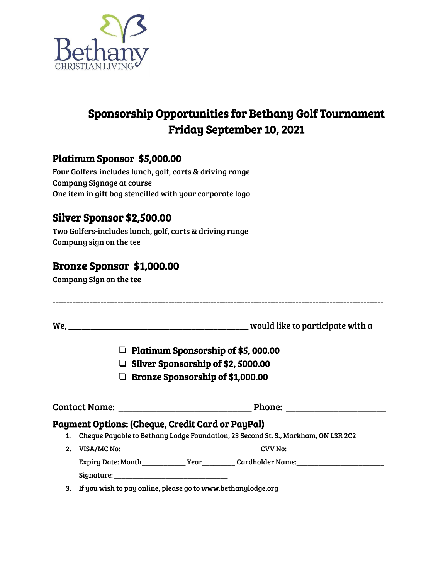

### Sponsorship Opportunities for Bethany Golf Tournament Friday September 10, 2021

#### Platinum Sponsor \$5,000.00

Four Golfers-includes lunch, golf, carts & driving range Company Signage at course One item in gift bag stencilled with your corporate logo

### Silver Sponsor \$2,500.00

Two Golfers-includes lunch, golf, carts & driving range Company sign on the tee

### Bronze Sponsor \$1,000.00

Company Sign on the tee

|    |                                                         | $\Box$ Platinum Sponsorship of \$5,000.00                                         |
|----|---------------------------------------------------------|-----------------------------------------------------------------------------------|
|    | $\Box$ Silver Sponsorship of \$2, 5000.00               |                                                                                   |
|    | □ Bronze Sponsorship of \$1,000.00                      |                                                                                   |
|    |                                                         |                                                                                   |
|    |                                                         |                                                                                   |
|    |                                                         |                                                                                   |
|    | <b>Payment Options: (Cheque, Credit Card or PayPal)</b> |                                                                                   |
| 1. |                                                         | Cheque Payable to Bethany Lodge Foundation, 23 Second St. S., Markham, ON L3R 2C2 |
| 2. |                                                         |                                                                                   |
|    |                                                         |                                                                                   |
|    |                                                         |                                                                                   |